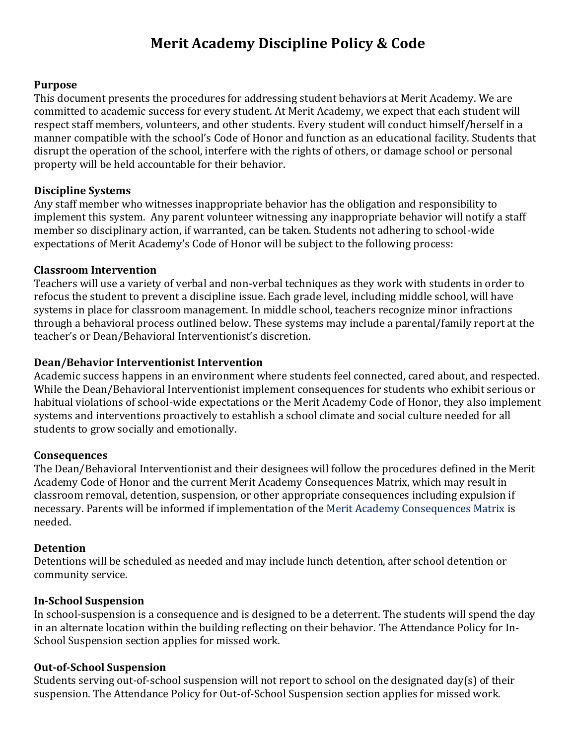#### **Purpose**

This document presents the procedures for addressing student behaviors at Merit Academy. We are committed to academic success for every student. At Merit Academy, we expect that each student will respect staff members, volunteers, and other students. Every student will conduct himself/herself in a manner compatible with the school's Code of Honor and function as an educational facility. Students that disrupt the operation of the school, interfere with the rights of others, or damage school or personal property will be held accountable for their behavior.

### **Discipline Systems**

Any staff member who witnesses inappropriate behavior has the obligation and responsibility to implement this system. Any parent volunteer witnessing any inappropriate behavior will notify a staff member so disciplinary action, if warranted, can be taken. Students not adhering to school-wide expectations of Merit Academy's Code of Honor will be subject to the following process:

#### **Classroom Intervention**

Teachers will use a variety of verbal and non-verbal techniques as they work with students in order to refocus the student to prevent a discipline issue. Each grade level, including middle school, will have systems in place for classroom management. In middle school, teachers recognize minor infractions through a behavioral process outlined below. These systems may include a parental/family report at the teacher's or Dean/Behavioral Interventionist's discretion.

### **Dean/Behavior Interventionist Intervention**

Academic success happens in an environment where students feel connected, cared about, and respected. While the Dean/Behavioral Interventionist implement consequences for students who exhibit serious or habitual violations of school-wide expectations or the Merit Academy Code of Honor, they also implement systems and interventions proactively to establish a school climate and social culture needed for all students to grow socially and emotionally.

#### **Consequences**

The Dean/Behavioral Interventionist and their designees will follow the procedures defined in the Merit Academy Code of Honor and the current Merit Academy Consequences Matrix, which may result in classroom removal, detention, suspension, or other appropriate consequences including expulsion if necessary. Parents will be informed if implementation of the [Merit Academy Consequences Matrix](https://docs.google.com/spreadsheets/d/1tS-TVIilBaT11k9yLFvNN1XlvtWgc7GRWo3y5r_tMS0/edit#gid=0) is needed.

#### **Detention**

Detentions will be scheduled as needed and may include lunch detention, after school detention or community service.

### **In-School Suspension**

In school-suspension is a consequence and is designed to be a deterrent. The students will spend the day in an alternate location within the building reflecting on their behavior. The Attendance Policy for In-School Suspension section applies for missed work.

#### **Out-of-School Suspension**

Students serving out-of-school suspension will not report to school on the designated day(s) of their suspension. The Attendance Policy for Out-of-School Suspension section applies for missed work.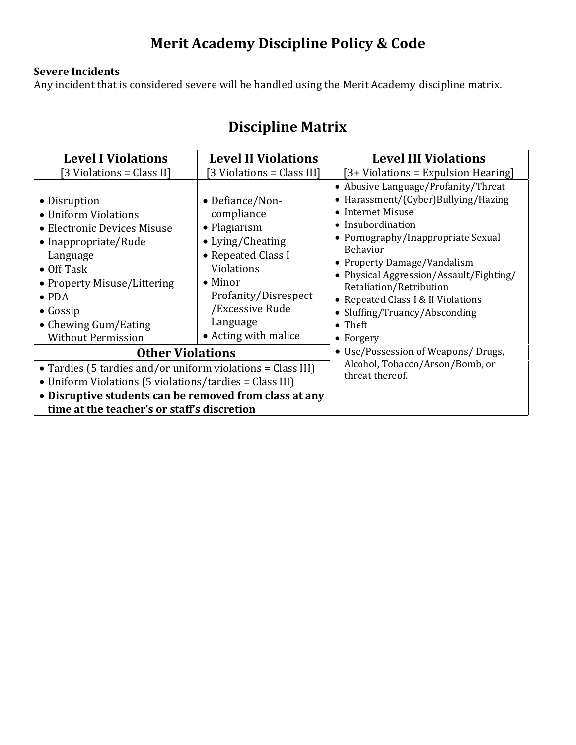### **Severe Incidents**

Any incident that is considered severe will be handled using the Merit Academy discipline matrix.

## **Discipline Matrix**

| <b>Level I Violations</b><br>[3 Violations = Class II]                                                                                                                                                                                                 | <b>Level II Violations</b><br>[3 Violations = Class III]                                                                                                                                                        | <b>Level III Violations</b><br>[3+ Violations = Expulsion Hearing]                                                                                                                                                                                                                                                                                                                                 |
|--------------------------------------------------------------------------------------------------------------------------------------------------------------------------------------------------------------------------------------------------------|-----------------------------------------------------------------------------------------------------------------------------------------------------------------------------------------------------------------|----------------------------------------------------------------------------------------------------------------------------------------------------------------------------------------------------------------------------------------------------------------------------------------------------------------------------------------------------------------------------------------------------|
| • Disruption<br>• Uniform Violations<br>• Electronic Devices Misuse<br>• Inappropriate/Rude<br>Language<br>$\bullet$ Off Task<br>• Property Misuse/Littering<br>$\bullet$ PDA<br>$\bullet$ Gossip<br>• Chewing Gum/Eating<br><b>Without Permission</b> | • Defiance/Non-<br>compliance<br>$\bullet$ Plagiarism<br>• Lying/Cheating<br>• Repeated Class I<br>Violations<br>$\bullet$ Minor<br>Profanity/Disrespect<br>/Excessive Rude<br>Language<br>• Acting with malice | • Abusive Language/Profanity/Threat<br>Harassment/(Cyber)Bullying/Hazing<br>$\bullet$<br>• Internet Misuse<br>• Insubordination<br>• Pornography/Inappropriate Sexual<br><b>Behavior</b><br>• Property Damage/Vandalism<br>• Physical Aggression/Assault/Fighting/<br>Retaliation/Retribution<br>• Repeated Class I & II Violations<br>Sluffing/Truancy/Absconding<br>$\bullet$ Theft<br>• Forgery |
| <b>Other Violations</b>                                                                                                                                                                                                                                |                                                                                                                                                                                                                 | • Use/Possession of Weapons/ Drugs,<br>Alcohol, Tobacco/Arson/Bomb, or<br>threat thereof.                                                                                                                                                                                                                                                                                                          |
| • Tardies (5 tardies and/or uniform violations = Class III)<br>• Uniform Violations (5 violations/tardies = Class III)<br>• Disruptive students can be removed from class at any<br>time at the teacher's or staff's discretion                        |                                                                                                                                                                                                                 |                                                                                                                                                                                                                                                                                                                                                                                                    |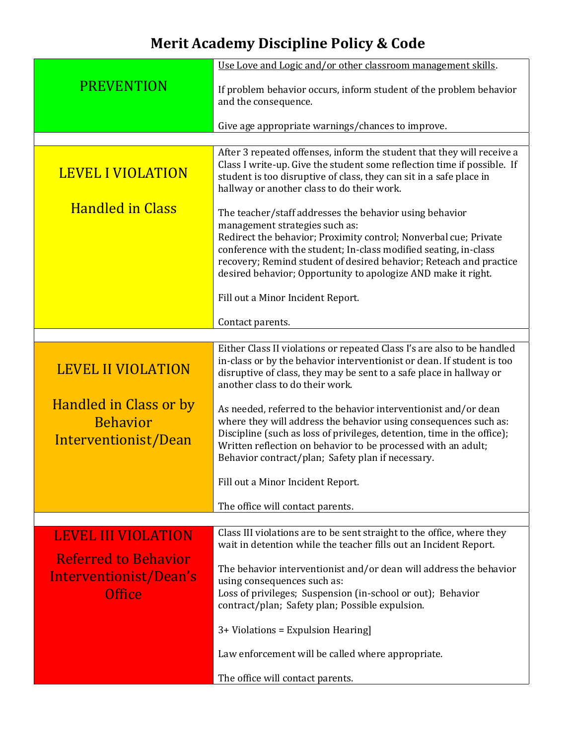|                                                                   | Use Love and Logic and/or other classroom management skills.                                                                                                                                                                                                                                                                         |  |
|-------------------------------------------------------------------|--------------------------------------------------------------------------------------------------------------------------------------------------------------------------------------------------------------------------------------------------------------------------------------------------------------------------------------|--|
| <b>PREVENTION</b>                                                 | If problem behavior occurs, inform student of the problem behavior<br>and the consequence.                                                                                                                                                                                                                                           |  |
|                                                                   | Give age appropriate warnings/chances to improve.                                                                                                                                                                                                                                                                                    |  |
|                                                                   |                                                                                                                                                                                                                                                                                                                                      |  |
| <b>LEVEL I VIOLATION</b>                                          | After 3 repeated offenses, inform the student that they will receive a<br>Class I write-up. Give the student some reflection time if possible. If<br>student is too disruptive of class, they can sit in a safe place in<br>hallway or another class to do their work.                                                               |  |
| <b>Handled in Class</b>                                           | The teacher/staff addresses the behavior using behavior                                                                                                                                                                                                                                                                              |  |
|                                                                   | management strategies such as:                                                                                                                                                                                                                                                                                                       |  |
|                                                                   | Redirect the behavior; Proximity control; Nonverbal cue; Private<br>conference with the student; In-class modified seating, in-class                                                                                                                                                                                                 |  |
|                                                                   | recovery; Remind student of desired behavior; Reteach and practice                                                                                                                                                                                                                                                                   |  |
|                                                                   | desired behavior; Opportunity to apologize AND make it right.                                                                                                                                                                                                                                                                        |  |
|                                                                   | Fill out a Minor Incident Report.                                                                                                                                                                                                                                                                                                    |  |
|                                                                   | Contact parents.                                                                                                                                                                                                                                                                                                                     |  |
|                                                                   |                                                                                                                                                                                                                                                                                                                                      |  |
| <b>LEVEL II VIOLATION</b>                                         | Either Class II violations or repeated Class I's are also to be handled<br>in-class or by the behavior interventionist or dean. If student is too<br>disruptive of class, they may be sent to a safe place in hallway or<br>another class to do their work.                                                                          |  |
| Handled in Class or by<br><b>Behavior</b><br>Interventionist/Dean | As needed, referred to the behavior interventionist and/or dean<br>where they will address the behavior using consequences such as:<br>Discipline (such as loss of privileges, detention, time in the office);<br>Written reflection on behavior to be processed with an adult;<br>Behavior contract/plan; Safety plan if necessary. |  |
|                                                                   | Fill out a Minor Incident Report.                                                                                                                                                                                                                                                                                                    |  |
|                                                                   |                                                                                                                                                                                                                                                                                                                                      |  |
|                                                                   | The office will contact parents.                                                                                                                                                                                                                                                                                                     |  |
| <b>LEVEL III VIOLATION</b>                                        | Class III violations are to be sent straight to the office, where they<br>wait in detention while the teacher fills out an Incident Report.                                                                                                                                                                                          |  |
| <b>Referred to Behavior</b><br>Interventionist/Dean's             | The behavior interventionist and/or dean will address the behavior                                                                                                                                                                                                                                                                   |  |
| <b>Office</b>                                                     | using consequences such as:<br>Loss of privileges; Suspension (in-school or out); Behavior<br>contract/plan; Safety plan; Possible expulsion.                                                                                                                                                                                        |  |
|                                                                   | 3+ Violations = Expulsion Hearing]                                                                                                                                                                                                                                                                                                   |  |
|                                                                   | Law enforcement will be called where appropriate.                                                                                                                                                                                                                                                                                    |  |
|                                                                   | The office will contact parents.                                                                                                                                                                                                                                                                                                     |  |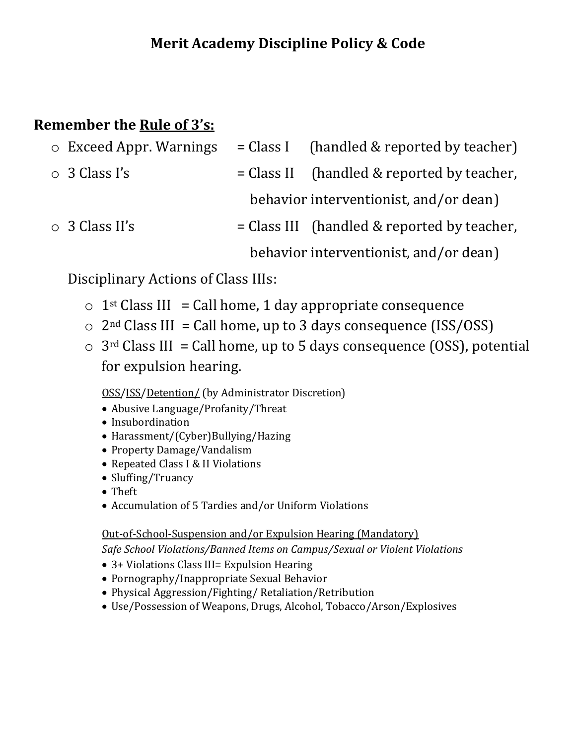### **Remember the Rule of 3's:**

| $\circ$ Exceed Appr. Warnings | $= Class I$ (handled & reported by teacher)   |
|-------------------------------|-----------------------------------------------|
| $\circ$ 3 Class I's           | $= Class II$ (handled & reported by teacher,  |
|                               | behavior interventionist, and/or dean)        |
| $\circ$ 3 Class II's          | $= Class III$ (handled & reported by teacher, |
|                               | behavior interventionist, and/or dean)        |

Disciplinary Actions of Class IIIs:

- $\circ$  1<sup>st</sup> Class III = Call home, 1 day appropriate consequence
- $\circ$  2<sup>nd</sup> Class III = Call home, up to 3 days consequence (ISS/OSS)
- $\circ$  3<sup>rd</sup> Class III = Call home, up to 5 days consequence (OSS), potential for expulsion hearing.

OSS/ISS/Detention/ (by Administrator Discretion)

- Abusive Language/Profanity/Threat
- Insubordination
- Harassment/(Cyber)Bullying/Hazing
- Property Damage/Vandalism
- Repeated Class I & II Violations
- Sluffing/Truancy
- Theft
- Accumulation of 5 Tardies and/or Uniform Violations

Out-of-School-Suspension and/or Expulsion Hearing (Mandatory)

*Safe School Violations/Banned Items on Campus/Sexual or Violent Violations*

- 3+ Violations Class III= Expulsion Hearing
- Pornography/Inappropriate Sexual Behavior
- Physical Aggression/Fighting/ Retaliation/Retribution
- Use/Possession of Weapons, Drugs, Alcohol, Tobacco/Arson/Explosives